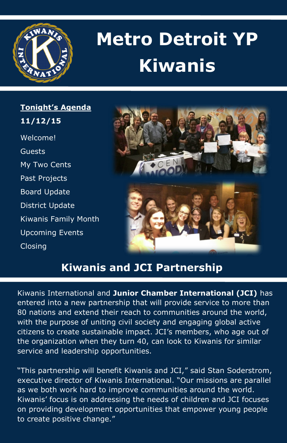

# **Metro Detroit YP Kiwanis**

**Tonight's Agenda 11/12/15**  Welcome! Guests My Two Cents Past Projects Board Update District Update Kiwanis Family Month Upcoming Events Closing



## **Kiwanis and JCI Partnership**

Kiwanis International and **Junior Chamber International (JCI)** has entered into a new partnership that will provide service to more than 80 nations and extend their reach to communities around the world, with the purpose of uniting civil society and engaging global active citizens to create sustainable impact. JCI's members, who age out of the organization when they turn 40, can look to Kiwanis for similar service and leadership opportunities.

"This partnership will benefit Kiwanis and JCI," said Stan Soderstrom, executive director of Kiwanis International. "Our missions are parallel as we both work hard to improve communities around the world. Kiwanis' focus is on addressing the needs of children and JCI focuses on providing development opportunities that empower young people to create positive change."